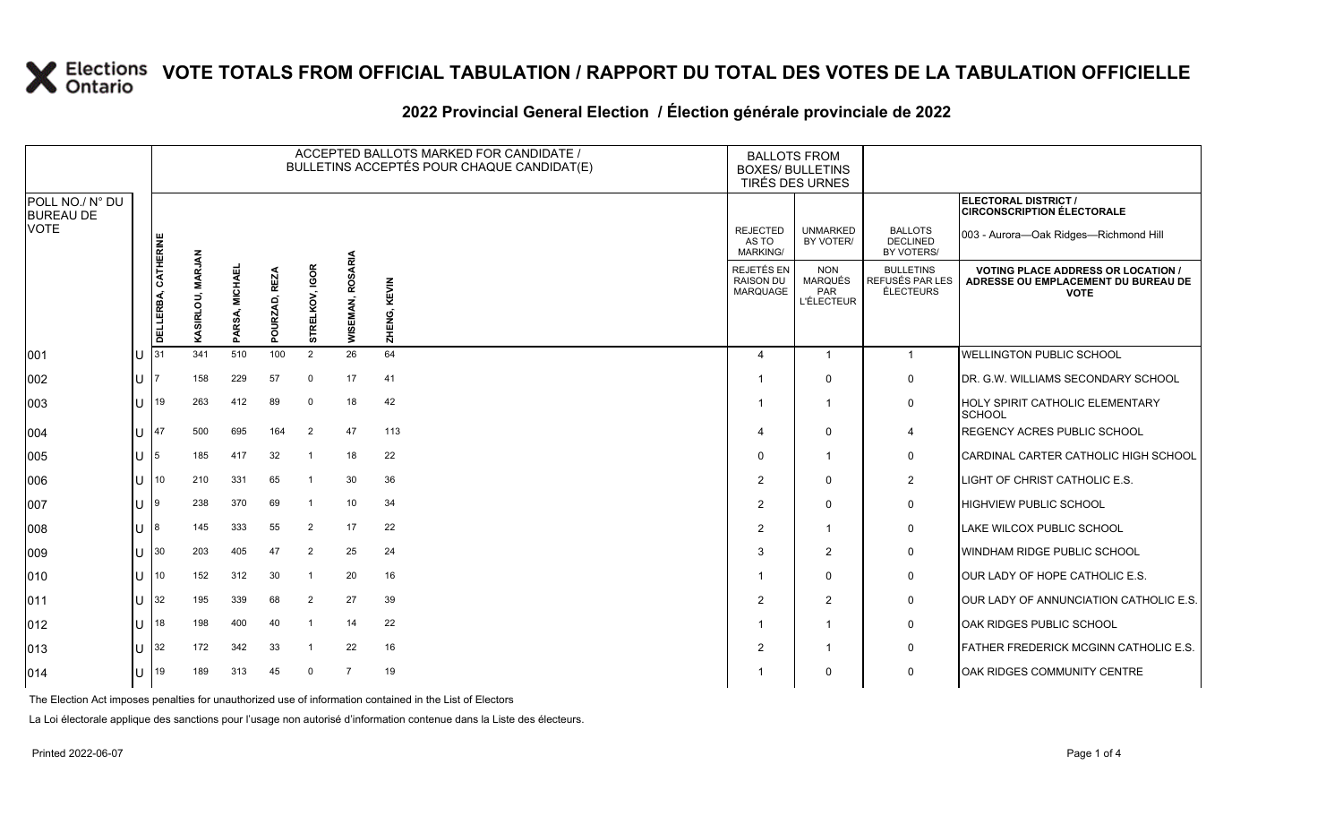### **VOTE TOTALS FROM OFFICIAL TABULATION / RAPPORT DU TOTAL DES VOTES DE LA TABULATION OFFICIELLE**

#### 2022 Provincial General Election / Election générale provinciale de 2022

|                                     |   |                     |                  |                     |                             |                         |                     | ACCEPTED BALLOTS MARKED FOR CANDIDATE /<br>BULLETINS ACCEPTÉS POUR CHAQUE CANDIDAT(E) | <b>BALLOTS FROM</b><br><b>BOXES/ BULLETINS</b><br><b>TIRÉS DES URNES</b> |                                                                 |                                                  |                                                                                                 |
|-------------------------------------|---|---------------------|------------------|---------------------|-----------------------------|-------------------------|---------------------|---------------------------------------------------------------------------------------|--------------------------------------------------------------------------|-----------------------------------------------------------------|--------------------------------------------------|-------------------------------------------------------------------------------------------------|
| POLL NO./ N° DU<br><b>BUREAU DE</b> |   |                     |                  |                     |                             |                         |                     |                                                                                       |                                                                          |                                                                 |                                                  | ELECTORAL DISTRICT /<br><b>CIRCONSCRIPTION ÉLECTORALE</b>                                       |
| <b>VOTE</b>                         |   |                     |                  |                     |                             |                         |                     |                                                                                       | <b>REJECTED</b><br>AS TO<br><b>MARKING/</b>                              | <b>UNMARKED</b><br>BY VOTER/                                    | <b>BALLOTS</b><br>DECLINED<br>BY VOTERS/         | 003 - Aurora-Oak Ridges-Richmond Hill                                                           |
|                                     |   | DELLERBA, CATHERINE | KASIRLOU, MARJAN | , MICHAEL<br>PARSA, | <b>REZ</b><br>OURZAD,<br>ő. | , IGOR<br>ELKOV<br>STRI | ROSARIA<br>WISEMAN, | ZHENG, KEVIN                                                                          | REJETÉS EN<br><b>RAISON DU</b><br><b>MARQUAGE</b>                        | <b>NON</b><br><b>MARQUÉS</b><br><b>PAR</b><br><b>L'ÉLECTEUR</b> | <b>BULLETINS</b><br>REFUSÉS PAR LES<br>ÉLECTEURS | <b>VOTING PLACE ADDRESS OR LOCATION /</b><br>ADRESSE OU EMPLACEMENT DU BUREAU DE<br><b>VOTE</b> |
| 001                                 |   | 31                  | 341              | 510                 | 100                         | 2                       | 26                  | 64                                                                                    | $\overline{4}$                                                           | $\overline{1}$                                                  | $\overline{1}$                                   | WELLINGTON PUBLIC SCHOOL                                                                        |
| 002                                 | U |                     | 158              | 229                 | 57                          | $\mathbf 0$             | 17                  | 41                                                                                    | $\overline{\mathbf{1}}$                                                  | $\Omega$                                                        | $\mathbf 0$                                      | DR. G.W. WILLIAMS SECONDARY SCHOOL                                                              |
| 003                                 | Ū | 19                  | 263              | 412                 | 89                          | $\mathbf 0$             | 18                  | 42                                                                                    |                                                                          |                                                                 | $\mathbf 0$                                      | HOLY SPIRIT CATHOLIC ELEMENTARY<br><b>SCHOOL</b>                                                |
| 004                                 | Ū | 47                  | 500              | 695                 | 164                         | $\overline{2}$          | 47                  | 113                                                                                   | $\boldsymbol{\varDelta}$                                                 | $\Omega$                                                        | $\overline{4}$                                   | REGENCY ACRES PUBLIC SCHOOL                                                                     |
| 005                                 | U | 5                   | 185              | 417                 | 32                          |                         | 18                  | 22                                                                                    | $\mathbf 0$                                                              |                                                                 | $\mathbf 0$                                      | CARDINAL CARTER CATHOLIC HIGH SCHOOL                                                            |
| 006                                 | U | 10                  | 210              | 331                 | 65                          |                         | 30                  | 36                                                                                    | $\overline{2}$                                                           | $\Omega$                                                        | 2                                                | LIGHT OF CHRIST CATHOLIC E.S.                                                                   |
| 007                                 |   | 9                   | 238              | 370                 | 69                          |                         | 10                  | 34                                                                                    | $\overline{2}$                                                           | $\Omega$                                                        | $\mathbf 0$                                      | HIGHVIEW PUBLIC SCHOOL                                                                          |
| 008                                 | U | 8                   | 145              | 333                 | 55                          | $\overline{2}$          | 17                  | 22                                                                                    | $\overline{2}$                                                           | 1                                                               | $\mathbf 0$                                      | LAKE WILCOX PUBLIC SCHOOL                                                                       |
| 009                                 | U | 30                  | 203              | 405                 | 47                          | $\overline{2}$          | 25                  | 24                                                                                    | 3                                                                        | $\overline{2}$                                                  | $\mathbf 0$                                      | WINDHAM RIDGE PUBLIC SCHOOL                                                                     |
| 010                                 | U | 10                  | 152              | 312                 | 30                          |                         | 20                  | 16                                                                                    | $\overline{\mathbf{1}}$                                                  | $\Omega$                                                        | $\mathbf 0$                                      | OUR LADY OF HOPE CATHOLIC E.S.                                                                  |
| 011                                 | U | 32                  | 195              | 339                 | 68                          | 2                       | 27                  | 39                                                                                    | $\overline{2}$                                                           | $\overline{2}$                                                  | $\mathbf 0$                                      | OUR LADY OF ANNUNCIATION CATHOLIC E.S.                                                          |
| $ 012\rangle$                       | U | 18                  | 198              | 400                 | 40                          |                         | 14                  | 22                                                                                    | $\overline{\mathbf{1}}$                                                  | 1                                                               | $\mathbf 0$                                      | OAK RIDGES PUBLIC SCHOOL                                                                        |
| $ 013\rangle$                       | U | 32                  | 172              | 342                 | 33                          |                         | 22                  | 16                                                                                    | $\overline{2}$                                                           | -1                                                              | $\mathbf 0$                                      | FATHER FREDERICK MCGINN CATHOLIC E.S.                                                           |
| $ 014\rangle$                       | U | 19                  | 189              | 313                 | 45                          | $\Omega$                | $\overline{7}$      | 19                                                                                    |                                                                          | $\Omega$                                                        | $\mathbf 0$                                      | OAK RIDGES COMMUNITY CENTRE                                                                     |

The Election Act imposes penalties for unauthorized use of information contained in the List of Electors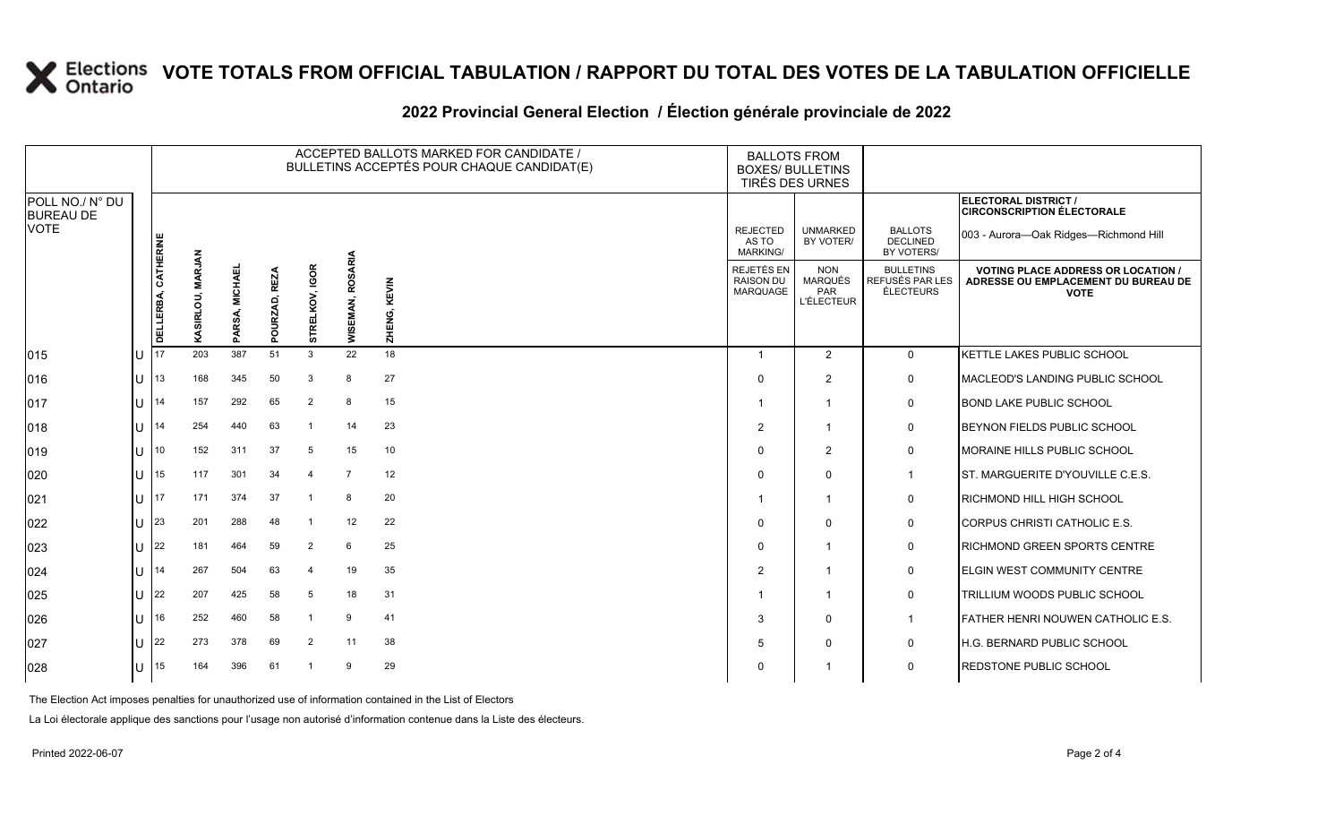# **X** Elections VOTE TOTALS FROM OFFICIAL TABULATION / RAPPORT DU TOTAL DES VOTES DE LA TABULATION OFFICIELLE

#### **2022 Provincial General Election / Élection générale provinciale de 2022**

|                                     |    |                     |                  |                |                         |                |                     | ACCEPTED BALLOTS MARKED FOR CANDIDATE /<br>BULLETINS ACCEPTÉS POUR CHAQUE CANDIDAT(E) | <b>BALLOTS FROM</b><br><b>BOXES/ BULLETINS</b><br>TIRÉS DES URNES |                                                          |                                                  |                                                                                                 |
|-------------------------------------|----|---------------------|------------------|----------------|-------------------------|----------------|---------------------|---------------------------------------------------------------------------------------|-------------------------------------------------------------------|----------------------------------------------------------|--------------------------------------------------|-------------------------------------------------------------------------------------------------|
| POLL NO./ N° DU<br><b>BUREAU DE</b> |    |                     |                  |                |                         |                |                     |                                                                                       |                                                                   |                                                          |                                                  | ELECTORAL DISTRICT /<br><b>CIRCONSCRIPTION ÉLECTORALE</b>                                       |
| <b>VOTE</b>                         |    |                     |                  |                |                         |                |                     |                                                                                       | <b>REJECTED</b><br>AS TO<br><b>MARKING/</b>                       | <b>UNMARKED</b><br>BY VOTER/                             | <b>BALLOTS</b><br><b>DECLINED</b><br>BY VOTERS/  | 003 - Aurora-Oak Ridges-Richmond Hill                                                           |
|                                     |    | DELLERBA, CATHERINE | KASIRLOU, MARJAN | PARSA, MICHAEL | <b>REZA</b><br>POURZAD, | STRELKOV, IGOR | ROSARIA<br>WISEMAN, | ZHENG, KEVIN                                                                          | REJETÉS EN<br><b>RAISON DU</b><br>MARQUAGE                        | <b>NON</b><br><b>MARQUÉS</b><br>PAR<br><b>L'ÉLECTEUR</b> | <b>BULLETINS</b><br>REFUSÉS PAR LES<br>ÉLECTEURS | <b>VOTING PLACE ADDRESS OR LOCATION /</b><br>ADRESSE OU EMPLACEMENT DU BUREAU DE<br><b>VOTE</b> |
| 015                                 | lu | 17                  | 203              | 387            | 51                      | 3              | 22                  | 18                                                                                    |                                                                   | 2                                                        | $\overline{0}$                                   | KETTLE LAKES PUBLIC SCHOOL                                                                      |
| 016                                 | lu | 13                  | 168              | 345            | 50                      | 3              | 8                   | 27                                                                                    | $\Omega$                                                          | $\overline{2}$                                           | $\mathsf{O}$                                     | MACLEOD'S LANDING PUBLIC SCHOOL                                                                 |
| 017                                 | lU | 14                  | 157              | 292            | 65                      | 2              | 8                   | 15                                                                                    |                                                                   | $\overline{1}$                                           | 0                                                | <b>BOND LAKE PUBLIC SCHOOL</b>                                                                  |
| 018                                 | lu | 14                  | 254              | 440            | 63                      | -1             | 14                  | 23                                                                                    | $\overline{2}$                                                    | -1                                                       | 0                                                | <b>BEYNON FIELDS PUBLIC SCHOOL</b>                                                              |
| 019                                 | lu | 10                  | 152              | 311            | 37                      | 5              | 15                  | 10                                                                                    | $\Omega$                                                          | $\overline{2}$                                           | 0                                                | MORAINE HILLS PUBLIC SCHOOL                                                                     |
| 020                                 | lu | 15                  | 117              | 301            | 34                      | $\overline{4}$ | $\overline{7}$      | 12                                                                                    | $\Omega$                                                          | $\Omega$                                                 | $\mathbf{1}$                                     | IST. MARGUERITE D'YOUVILLE C.E.S.                                                               |
| 021                                 | lu | 17                  | 171              | 374            | 37                      | -1             | 8                   | 20                                                                                    |                                                                   | $\overline{1}$                                           | 0                                                | <b>RICHMOND HILL HIGH SCHOOL</b>                                                                |
| 022                                 | lυ | 23                  | 201              | 288            | 48                      | -1             | 12                  | 22                                                                                    | $\Omega$                                                          | $\Omega$                                                 | 0                                                | CORPUS CHRISTI CATHOLIC E.S.                                                                    |
| 023                                 | lU | 22                  | 181              | 464            | 59                      | 2              | 6                   | 25                                                                                    | $\Omega$                                                          | -1                                                       | $\mathbf 0$                                      | <b>RICHMOND GREEN SPORTS CENTRE</b>                                                             |
| 024                                 | lu | 14                  | 267              | 504            | 63                      | $\overline{4}$ | 19                  | 35                                                                                    | $\overline{2}$                                                    | -1                                                       | 0                                                | <b>ELGIN WEST COMMUNITY CENTRE</b>                                                              |
| 025                                 | lU | 22                  | 207              | 425            | 58                      | 5              | 18                  | 31                                                                                    |                                                                   | $\overline{1}$                                           | 0                                                | TRILLIUM WOODS PUBLIC SCHOOL                                                                    |
| 026                                 | lu | 16                  | 252              | 460            | 58                      |                | 9                   | 41                                                                                    | 3                                                                 | $\Omega$                                                 | $\mathbf{1}$                                     | <b>FATHER HENRI NOUWEN CATHOLIC E.S.</b>                                                        |
| 027                                 | lu | 22                  | 273              | 378            | 69                      | 2              | 11                  | 38                                                                                    | 5                                                                 | $\mathbf{0}$                                             | 0                                                | H.G. BERNARD PUBLIC SCHOOL                                                                      |
| 028                                 | lU | 15                  | 164              | 396            | 61                      | -1             | 9                   | 29                                                                                    | 0                                                                 |                                                          | $\mathbf 0$                                      | <b>REDSTONE PUBLIC SCHOOL</b>                                                                   |

The Election Act imposes penalties for unauthorized use of information contained in the List of Electors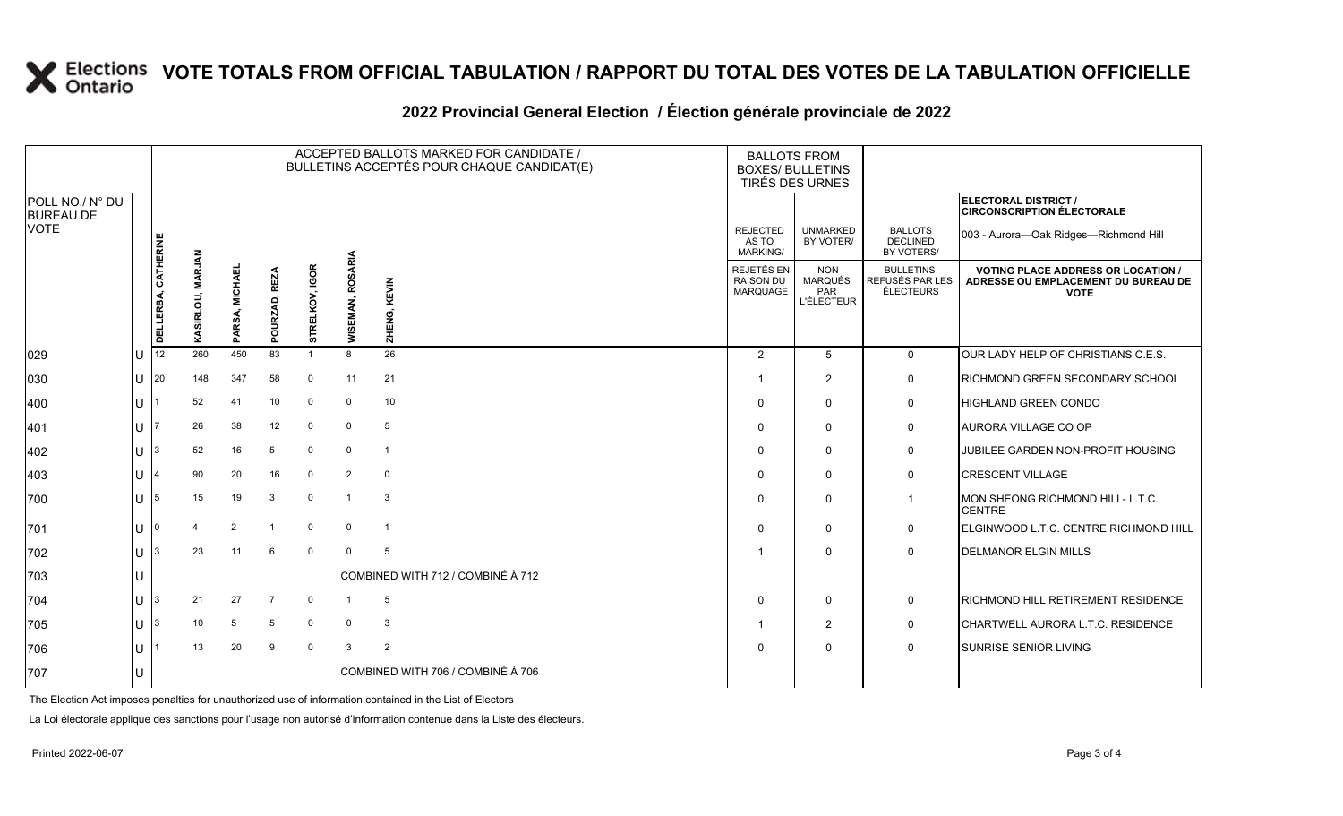# **X** Elections VOTE TOTALS FROM OFFICIAL TABULATION / RAPPORT DU TOTAL DES VOTES DE LA TABULATION OFFICIELLE

#### **2022 Provincial General Election / Élection générale provinciale de 2022**

|                                     |              |                     | ACCEPTED BALLOTS MARKED FOR CANDIDATE /<br>BULLETINS ACCEPTÉS POUR CHAQUE CANDIDAT(E) |                |                         |                |                     |                                   |                                                   | <b>BALLOTS FROM</b><br><b>BOXES/ BULLETINS</b><br>TIRÉS DES URNES |                                                  |                                                                                                 |
|-------------------------------------|--------------|---------------------|---------------------------------------------------------------------------------------|----------------|-------------------------|----------------|---------------------|-----------------------------------|---------------------------------------------------|-------------------------------------------------------------------|--------------------------------------------------|-------------------------------------------------------------------------------------------------|
| POLL NO./ N° DU<br><b>BUREAU DE</b> |              |                     |                                                                                       |                |                         |                |                     |                                   |                                                   |                                                                   |                                                  | <b>ELECTORAL DISTRICT /</b><br><b>CIRCONSCRIPTION ÉLECTORALE</b>                                |
| <b>VOTE</b>                         |              |                     |                                                                                       |                |                         |                |                     |                                   | <b>REJECTED</b><br>AS TO<br>MARKING/              | <b>UNMARKED</b><br>BY VOTER/                                      | <b>BALLOTS</b><br><b>DECLINED</b><br>BY VOTERS/  | 003 - Aurora-Oak Ridges-Richmond Hill                                                           |
|                                     |              | DELLERBA, CATHERINE | KASIRLOU, MARJAN                                                                      | PARSA, MICHAEL | <b>REZA</b><br>POURZAD, | STRELKOV, IGOR | ROSARIA<br>WISEMAN, | ZHENG, KEVIN                      | REJETÉS EN<br><b>RAISON DU</b><br><b>MARQUAGE</b> | <b>NON</b><br><b>MARQUÉS</b><br>PAR<br><b>L'ÉLECTEUR</b>          | <b>BULLETINS</b><br>REFUSÉS PAR LES<br>ÉLECTEURS | <b>VOTING PLACE ADDRESS OR LOCATION /</b><br>ADRESSE OU EMPLACEMENT DU BUREAU DE<br><b>VOTE</b> |
| 029                                 |              | 12                  | 260                                                                                   | 450            | 83                      | $\mathbf{1}$   | 8                   | 26                                | $\overline{2}$                                    | 5                                                                 | $\mathbf 0$                                      | OUR LADY HELP OF CHRISTIANS C.E.S.                                                              |
| 030                                 | U            | 20                  | 148                                                                                   | 347            | 58                      | $\overline{0}$ | 11                  | 21                                |                                                   | $\overline{2}$                                                    | 0                                                | RICHMOND GREEN SECONDARY SCHOOL                                                                 |
| 400                                 | U            |                     | 52                                                                                    | 41             | 10                      | $\mathbf 0$    | $\mathbf 0$         | 10                                | $\Omega$                                          | $\Omega$                                                          | $\mathbf 0$                                      | <b>HIGHLAND GREEN CONDO</b>                                                                     |
| 401                                 | ΠT           |                     | 26                                                                                    | 38             | 12                      | $\overline{0}$ | $\Omega$            | 5                                 | $\Omega$                                          | $\Omega$                                                          | 0                                                | AURORA VILLAGE CO OP                                                                            |
| 402                                 | $\mathbf{U}$ | 3                   | 52                                                                                    | 16             | 5                       | $\overline{0}$ | $\Omega$            | $\mathbf{1}$                      | $\Omega$                                          | $\Omega$                                                          | $\mathbf 0$                                      | JUBILEE GARDEN NON-PROFIT HOUSING                                                               |
| 403                                 | ΠT           |                     | 90                                                                                    | 20             | 16                      | $\mathbf 0$    | 2                   | $\mathbf 0$                       | $\Omega$                                          | $\Omega$                                                          | $\mathbf 0$                                      | <b>CRESCENT VILLAGE</b>                                                                         |
| 700                                 | ΠT           | 5                   | 15                                                                                    | 19             | 3                       | $\mathbf 0$    | $\overline{1}$      | 3                                 | $\Omega$                                          | $\Omega$                                                          | $\mathbf{1}$                                     | MON SHEONG RICHMOND HILL- L.T.C.<br><b>CENTRE</b>                                               |
| 701                                 | U            | 0                   |                                                                                       | 2              | -1                      | $\overline{0}$ | $\Omega$            | $\overline{1}$                    | $\Omega$                                          | $\Omega$                                                          | 0                                                | ELGINWOOD L.T.C. CENTRE RICHMOND HILL                                                           |
| 702                                 | U            | 3                   | 23                                                                                    | 11             | 6                       | $\overline{0}$ | $\Omega$            | 5                                 |                                                   | $\Omega$                                                          | $\Omega$                                         | <b>DELMANOR ELGIN MILLS</b>                                                                     |
| 703                                 |              |                     |                                                                                       |                |                         |                |                     | COMBINED WITH 712 / COMBINÉ À 712 |                                                   |                                                                   |                                                  |                                                                                                 |
| 704                                 | U            | 3                   | 21                                                                                    | 27             | $\overline{7}$          | $\overline{0}$ |                     | 5                                 | $\Omega$                                          | $\Omega$                                                          | 0                                                | RICHMOND HILL RETIREMENT RESIDENCE                                                              |
| 705                                 | U            | 3                   | 10                                                                                    | 5              | 5                       | $\overline{0}$ | $\Omega$            | 3                                 |                                                   | 2                                                                 | 0                                                | CHARTWELL AURORA L.T.C. RESIDENCE                                                               |
| 706                                 | ΠT           |                     | 13                                                                                    | 20             | 9                       | $\mathbf{0}$   | 3                   | 2                                 | $\Omega$                                          | $\Omega$                                                          | $\mathbf 0$                                      | SUNRISE SENIOR LIVING                                                                           |
| 707                                 | IU           |                     |                                                                                       |                |                         |                |                     | COMBINED WITH 706 / COMBINÉ À 706 |                                                   |                                                                   |                                                  |                                                                                                 |

The Election Act imposes penalties for unauthorized use of information contained in the List of Electors